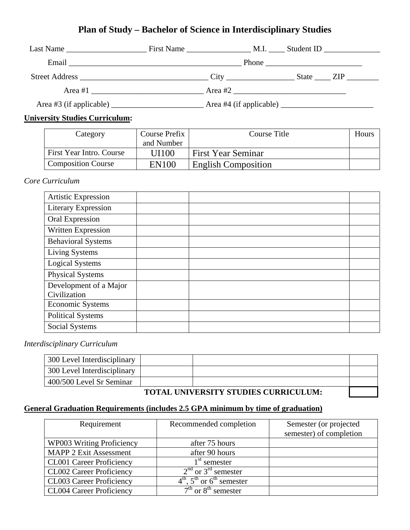## **Plan of Study – Bachelor of Science in Interdisciplinary Studies**

|                                                                                                                                                                                                                                | First Name                                                                                                                                                                                                                     |         | $M.I. \_\_\_\$ Student ID $\_\_\_\_\_\_\_\_\_\_\_\_\_\_\_\_\_$ |  |
|--------------------------------------------------------------------------------------------------------------------------------------------------------------------------------------------------------------------------------|--------------------------------------------------------------------------------------------------------------------------------------------------------------------------------------------------------------------------------|---------|----------------------------------------------------------------|--|
|                                                                                                                                                                                                                                | Email experience and the contract of the contract of the contract of the contract of the contract of the contract of the contract of the contract of the contract of the contract of the contract of the contract of the contr |         |                                                                |  |
| Street Address and the state of the state of the state of the state of the state of the state of the state of the state of the state of the state of the state of the state of the state of the state of the state of the stat |                                                                                                                                                                                                                                | City    | State $\angle$ ZIP $\angle$                                    |  |
| Area $#1$                                                                                                                                                                                                                      |                                                                                                                                                                                                                                | Area #2 |                                                                |  |
|                                                                                                                                                                                                                                |                                                                                                                                                                                                                                |         |                                                                |  |

#### **University Studies Curriculum:**

| Category                  | Course Prefix | Course Title               | Hours |
|---------------------------|---------------|----------------------------|-------|
|                           | and Number    |                            |       |
| First Year Intro. Course  | UI100         | <b>First Year Seminar</b>  |       |
| <b>Composition Course</b> | <b>EN100</b>  | <b>English Composition</b> |       |

#### *Core Curriculum*

| <b>Artistic Expression</b>             |  |  |
|----------------------------------------|--|--|
| <b>Literary Expression</b>             |  |  |
| Oral Expression                        |  |  |
| Written Expression                     |  |  |
| <b>Behavioral Systems</b>              |  |  |
| Living Systems                         |  |  |
| <b>Logical Systems</b>                 |  |  |
| <b>Physical Systems</b>                |  |  |
| Development of a Major<br>Civilization |  |  |
| <b>Economic Systems</b>                |  |  |
| <b>Political Systems</b>               |  |  |
| Social Systems                         |  |  |

#### *Interdisciplinary Curriculum*

| 300 Level Interdisciplinary                 |  |  |  |
|---------------------------------------------|--|--|--|
| 300 Level Interdisciplinary                 |  |  |  |
| 400/500 Level Sr Seminar                    |  |  |  |
| <b>TOTAL UNIVERSITY STUDIES CURRICULUM:</b> |  |  |  |

## **TOTAL UNIVERSITY STUDIES CURRICULUM:**

## **General Graduation Requirements (includes 2.5 GPA minimum by time of graduation)**

| Requirement                     | Recommended completion            | Semester (or projected<br>semester) of completion |
|---------------------------------|-----------------------------------|---------------------------------------------------|
| WP003 Writing Proficiency       | after 75 hours                    |                                                   |
| <b>MAPP 2 Exit Assessment</b>   | after 90 hours                    |                                                   |
| <b>CL001 Career Proficiency</b> | 1 <sup>st</sup> semester          |                                                   |
| <b>CL002 Career Proficiency</b> | $2nd$ or 3 <sup>rd</sup> semester |                                                   |
| <b>CL003 Career Proficiency</b> | $4th$ , $5th$ or $6th$ semester   |                                                   |
| <b>CL004 Career Proficiency</b> | $7th$ or $8th$ semester           |                                                   |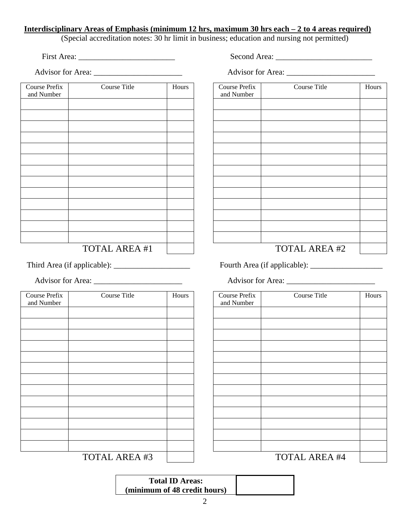#### **Interdisciplinary Areas of Emphasis (minimum 12 hrs, maximum 30 hrs each – 2 to 4 areas required)**

(Special accreditation notes: 30 hr limit in business; education and nursing not permitted)

First Area: \_\_\_\_\_\_\_\_\_\_\_\_\_\_\_\_\_\_\_\_\_\_\_\_ Second Area: \_\_\_\_\_\_\_\_\_\_\_\_\_\_\_\_\_\_\_\_\_\_\_\_

| Course Prefix<br>and Number | Course Title         | Hours |
|-----------------------------|----------------------|-------|
|                             |                      |       |
|                             |                      |       |
|                             |                      |       |
|                             |                      |       |
|                             |                      |       |
|                             |                      |       |
|                             |                      |       |
|                             |                      |       |
|                             |                      |       |
|                             |                      |       |
|                             |                      |       |
|                             |                      |       |
|                             |                      |       |
|                             |                      |       |
|                             |                      |       |
|                             |                      |       |
|                             | <b>TOTAL AREA #1</b> |       |
|                             |                      |       |
|                             |                      |       |
|                             |                      |       |
| Course Prefix               | <b>Course Title</b>  | Hours |
| and Number                  |                      |       |
|                             |                      |       |
|                             |                      |       |
|                             |                      |       |
|                             |                      |       |
|                             |                      |       |
|                             |                      |       |
|                             |                      |       |
|                             |                      |       |
|                             |                      |       |
|                             |                      |       |
|                             |                      |       |
|                             |                      |       |
|                             |                      |       |

Advisor for Area: \_\_\_\_\_\_\_\_\_\_\_\_\_\_\_\_\_\_\_\_\_\_ Advisor for Area: \_\_\_\_\_\_\_\_\_\_\_\_\_\_\_\_\_\_\_\_\_\_ Course Prefix and Number Course Title Hours TOTAL AREA #2

Third Area (if applicable): \_\_\_\_\_\_\_\_\_\_\_\_\_\_\_\_\_\_\_ Fourth Area (if applicable): \_\_\_\_\_\_\_\_\_\_\_\_\_\_\_\_\_\_

Advisor for Area:

| Course Prefix | Course Title         | Hours |
|---------------|----------------------|-------|
| and Number    |                      |       |
|               |                      |       |
|               |                      |       |
|               |                      |       |
|               |                      |       |
|               |                      |       |
|               |                      |       |
|               |                      |       |
|               |                      |       |
|               |                      |       |
|               |                      |       |
|               |                      |       |
|               |                      |       |
|               |                      |       |
|               |                      |       |
|               |                      |       |
|               |                      |       |
|               |                      |       |
|               |                      |       |
|               |                      |       |
|               |                      |       |
|               |                      |       |
|               | <b>TOTAL AREA #4</b> |       |

TOTAL AREA #3

**Total ID Areas: (minimum of 48 credit hours)**